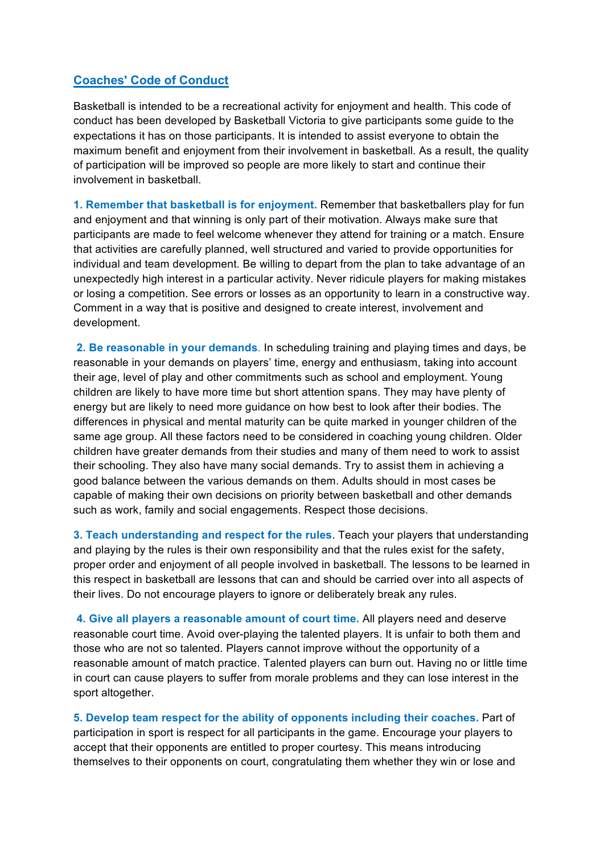## **Coaches' Code of Conduct**

Basketball is intended to be a recreational activity for enjoyment and health. This code of conduct has been developed by Basketball Victoria to give participants some guide to the expectations it has on those participants. It is intended to assist everyone to obtain the maximum benefit and enjoyment from their involvement in basketball. As a result, the quality of participation will be improved so people are more likely to start and continue their involvement in basketball.

**1. Remember that basketball is for enjoyment.** Remember that basketballers play for fun and enjoyment and that winning is only part of their motivation. Always make sure that participants are made to feel welcome whenever they attend for training or a match. Ensure that activities are carefully planned, well structured and varied to provide opportunities for individual and team development. Be willing to depart from the plan to take advantage of an unexpectedly high interest in a particular activity. Never ridicule players for making mistakes or losing a competition. See errors or losses as an opportunity to learn in a constructive way. Comment in a way that is positive and designed to create interest, involvement and development.

**2. Be reasonable in your demands**. In scheduling training and playing times and days, be reasonable in your demands on players' time, energy and enthusiasm, taking into account their age, level of play and other commitments such as school and employment. Young children are likely to have more time but short attention spans. They may have plenty of energy but are likely to need more guidance on how best to look after their bodies. The differences in physical and mental maturity can be quite marked in younger children of the same age group. All these factors need to be considered in coaching young children. Older children have greater demands from their studies and many of them need to work to assist their schooling. They also have many social demands. Try to assist them in achieving a good balance between the various demands on them. Adults should in most cases be capable of making their own decisions on priority between basketball and other demands such as work, family and social engagements. Respect those decisions.

**3. Teach understanding and respect for the rules**. Teach your players that understanding and playing by the rules is their own responsibility and that the rules exist for the safety, proper order and enjoyment of all people involved in basketball. The lessons to be learned in this respect in basketball are lessons that can and should be carried over into all aspects of their lives. Do not encourage players to ignore or deliberately break any rules.

**4. Give all players a reasonable amount of court time.** All players need and deserve reasonable court time. Avoid over-playing the talented players. It is unfair to both them and those who are not so talented. Players cannot improve without the opportunity of a reasonable amount of match practice. Talented players can burn out. Having no or little time in court can cause players to suffer from morale problems and they can lose interest in the sport altogether.

**5. Develop team respect for the ability of opponents including their coaches.** Part of participation in sport is respect for all participants in the game. Encourage your players to accept that their opponents are entitled to proper courtesy. This means introducing themselves to their opponents on court, congratulating them whether they win or lose and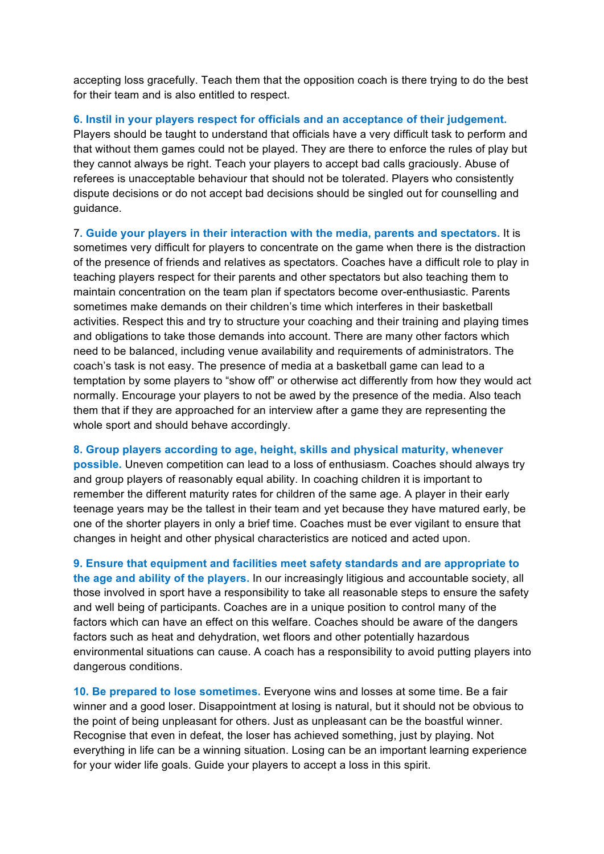accepting loss gracefully. Teach them that the opposition coach is there trying to do the best for their team and is also entitled to respect.

## **6. Instil in your players respect for officials and an acceptance of their judgement.**

Players should be taught to understand that officials have a very difficult task to perform and that without them games could not be played. They are there to enforce the rules of play but they cannot always be right. Teach your players to accept bad calls graciously. Abuse of referees is unacceptable behaviour that should not be tolerated. Players who consistently dispute decisions or do not accept bad decisions should be singled out for counselling and guidance.

7**. Guide your players in their interaction with the media, parents and spectators.** It is sometimes very difficult for players to concentrate on the game when there is the distraction of the presence of friends and relatives as spectators. Coaches have a difficult role to play in teaching players respect for their parents and other spectators but also teaching them to maintain concentration on the team plan if spectators become over-enthusiastic. Parents sometimes make demands on their children's time which interferes in their basketball activities. Respect this and try to structure your coaching and their training and playing times and obligations to take those demands into account. There are many other factors which need to be balanced, including venue availability and requirements of administrators. The coach's task is not easy. The presence of media at a basketball game can lead to a temptation by some players to "show off" or otherwise act differently from how they would act normally. Encourage your players to not be awed by the presence of the media. Also teach them that if they are approached for an interview after a game they are representing the whole sport and should behave accordingly.

## **8. Group players according to age, height, skills and physical maturity, whenever**

**possible.** Uneven competition can lead to a loss of enthusiasm. Coaches should always try and group players of reasonably equal ability. In coaching children it is important to remember the different maturity rates for children of the same age. A player in their early teenage years may be the tallest in their team and yet because they have matured early, be one of the shorter players in only a brief time. Coaches must be ever vigilant to ensure that changes in height and other physical characteristics are noticed and acted upon.

**9. Ensure that equipment and facilities meet safety standards and are appropriate to the age and ability of the players.** In our increasingly litigious and accountable society, all those involved in sport have a responsibility to take all reasonable steps to ensure the safety and well being of participants. Coaches are in a unique position to control many of the factors which can have an effect on this welfare. Coaches should be aware of the dangers factors such as heat and dehydration, wet floors and other potentially hazardous environmental situations can cause. A coach has a responsibility to avoid putting players into dangerous conditions.

**10. Be prepared to lose sometimes.** Everyone wins and losses at some time. Be a fair winner and a good loser. Disappointment at losing is natural, but it should not be obvious to the point of being unpleasant for others. Just as unpleasant can be the boastful winner. Recognise that even in defeat, the loser has achieved something, just by playing. Not everything in life can be a winning situation. Losing can be an important learning experience for your wider life goals. Guide your players to accept a loss in this spirit.